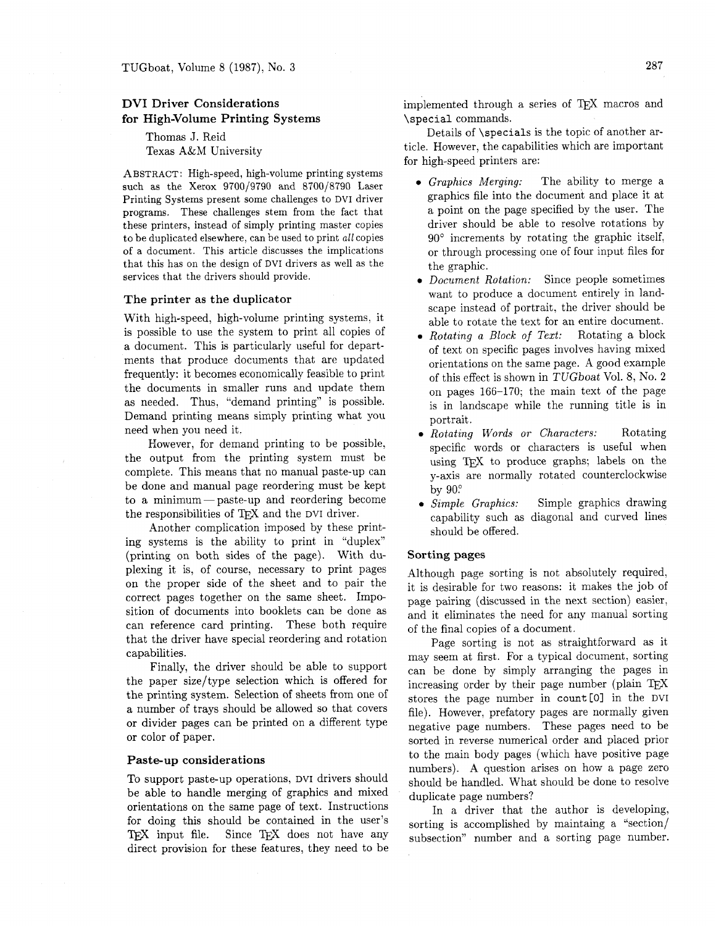# **DVI Driver Considerations for High-Volume Printing Systems**

Thomas J. Reid Texas **A&M** University

ABSTRACT: High-speed, high-volume printing systems such as the Xerox 9700/9790 and 8700/8790 Laser Printing Systems present some challenges to DVI driver programs. These challenges stem from the fact that these printers, instead of simply printing master copies to be duplicated elsewhere, can be used to print all copies of a document. This article discusses the implications that this has on the design of DvI drivers as well as the services that the drivers should provide.

#### **The printer as the duplicator**

With high-speed, high-volume printing systems, it is possible to use the system to print all copies of a document. This is particularly useful for departments that produce documents that are updated frequently: it becomes economically feasible to print the documents in smaller runs and update them as needed. Thus, "demand printing" is possible. Demand printing means simply printing what you need when you need it.

Eowever, for demand printing to be possible, the output from the printing system must be complete. This means that no manual paste-up can be done and manual page reordering must be kept<br>to a minimum — paste-up and reordering become to a minimum — paste-up and reordering become the responsibilities of  $TrX$  and the DVI driver.

Another complication imposed by these printing systems is the ability to print in "duplex" (printing on both sides of the page). With duplexing it is, of course, necessary to print pages on the proper side of the sheet and to pair the correct pages together on the same sheet. Imposition of documents into booklets can be done as can reference card printing. These both require that the driver have special reordering and rotation capabilities.

Finally, the driver should be able to support the paper size/type selection which is offered for the printing system. Selection of sheets from one of a number of trays should be allowed so that covers or divider pages can be printed on a different type or color of paper.

## **Paste-up considerations**

To support paste-up operations, DVI drivers should be able to handle merging of graphics and mixed orientations on the same page of text. Instructions for doing this should be contained in the user's TEX input file. Since TEX does not have any direct provision for these features, they need to be implemented through a series of TEX macros and \special commands.

Details of \specials is the topic of another article. However, the capabilities which are important for high-speed printers are:

- **0** *Graphics Merging:* The ability to merge a graphics file into the document and place it at a point on the page specified by the user. The driver should be able to resolve rotations by 90' increments by rotating the graphic itself, or through processing one of four input files for the graphic.
- **0** *Document Rotation:* Since people sometimes want to produce a document entirely in landscape instead of portrait, the driver should be able to rotate the text for an entire document.
- Rotating a Block of Text: Rotating a block of text on specific pages involves having mixed orientations on the same page. A good example of this effect is shown in TUGboat Vol. 8, No. **2**  on pages 166-170; the main text of the page is in landscape while the running title is in portrait.
- **0** *Rotating Words or Characters:* Rotating specific words or characters is useful when using TEX to produce graphs; labels on the y-axis are normally rotated counterclockwise by 90:
- **0** *Simple Graphics:* Simple graphics drawing capability such as diagonal and curved lines should be offered.

#### **Sorting pages**

Although page sorting is not absolutely required, it is desirable for two reasons: it makes the job of page pairing (discussed in the next section) easier, and it eliminates the need for any manual sorting of the final copies of a document.

Page sorting is not as straightforward as it may seem at first. For a typical document, sorting can be done by simply arranging the pages in increasing order by their page number (plain stores the page number in count [0] in the DVI file). However, prefatory pages are normally given negative page numbers. These pages need to be sorted in reverse numerical order and placed prior to the main body pages (which have positive page numbers). A question arises on how a page zero should be handled. What should be done to resolve duplicate page numbers?

In a driver that the author is developing, sorting is accomplished by maintaing a "section/ subsection" number and a sorting page number.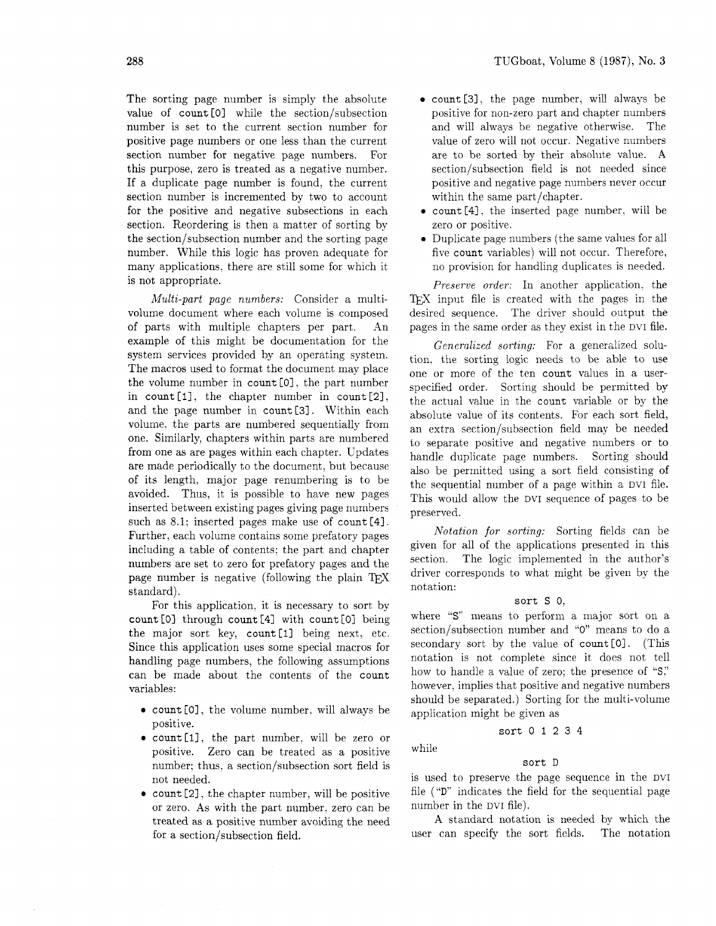The sorting page number is simply the absolute value of count<sup>[0]</sup> while the section/subsection number is set to the current section number for positive page numbers or one less than the current section number for negative page numbers. For this purpose, zero is treated as a negative number. If a duplicate page number is found, the current section number is incremented by two to account for the positive and negative subsections in each section. Reordering is then a matter of sorting by the section/subsection number and the sorting page number. While this logic has proven adequate for many applications. there are still some for which it is not appropriate.

*Multi-part page numbers:* Consider a multivolume document where each volume is composed of parts with multiple chapters per part. An example of this might be documentation for the system services provided by an operating system. The macros used to format the document may place the volume number in count [O], the part number in count [I], the chapter number in count [21, and the page number in count [3]. Within each volume, the parts are numbered sequentially from one. Similarly, chapters within parts are numbered from one as are pages within each chapter. Updates are made periodically to the document. but because of its length, major page renumbering is to be avoided. Thus, it is possible to have new pages inserted between existing pages giving page numbers such as 8.1; inserted pages make use of count [4]. Further, each volume contains some prefatory pages including a table of contents; the part and chapter numbers are set to zero for prefatory pages and the page number is negative (following the plain TFX standard).

For this application, it is necessary to sort by  $count[0]$  through count  $[4]$  with count  $[0]$  being the major sort key, count [1] being next, etc. Since this application uses some special macros for handling page numbers, the following assumptions can be made about the contents of the count variables:

- count [0], the volume number, will always be positive.
- **0** count [I], the part number, will be zero or positive. Zero can be treated as a positive number; thus, a section/subsection sort field is not needed.
- **count** [2], the chapter number, will be positive or zero. As with the part number. zero can be treated as a positive number avoiding the need for a section/subsection field.
- count [31. the page number, will always be positive for non-zero part and chapter numbers and will always be negative otherwise. The value of zero will not occur. Negative numbers are to be sorted by their absolute value. A section/subsection field is not needed since positive and negative page numbers never occur within the same part/chapter.
- count [4], the inserted page number, will be zero or positive.
- Duplicate page numbers (the same values for all five count variables) will not occur. Therefore, no provision for handling duplicates is needed.

*Preserve order:* In another application. the input file is created with the pages in the desired sequence. The driver should output the pages in the same order as they exist in the DVI file.

*Generalized sorting:* For a generalized solution. the sorting logic needs to be able to use one or more of the ten count values in a userspecified order. Sorting should be permitted by the actual value in the count variable or by the absolute value of its contents. For each sort field, an extra section/subsection field may be needed to separate positive and negative numbers or to handle duplicate page numbers. Sorting should also be permitted using a sort field consisting of the sequential number of a page within a DVI file. This would allow the DVI sequence of pages to be preserved.

*Notation for sorting:* Sorting fields can be given for all of the applications presented in this section. The logic implemented in the author's driver corresponds to what might be given by the notation:

## sort S 0.

where "S" means to perform a major sort on a section/subsection number and "0'' means to do a secondary sort by the value of count [OI. (This notation is not complete since it does not tell how to handle a value of zero; the presence of "S," however, implies that positive and negative numbers should be separated.) Sorting for the multi-volume application might be given as

sort 0 I 2 3 4

while

### sort <sup>D</sup>

is used to preserve the page sequence in the DVI file ("D" indicates the field for the sequential page number in the DVI file).

A standard notation is needed by which the user can specify the sort fields. The notation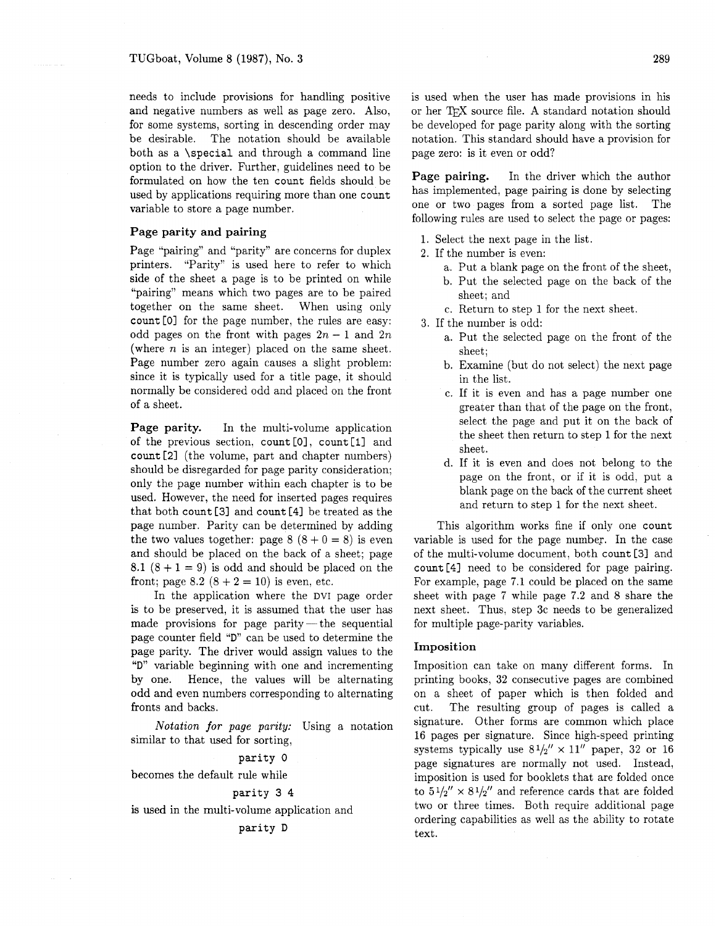needs to include provisions for handling positive and negative numbers as well as page zero. Also, for some systems, sorting in descending order may be desirable. The notation should be available both as a **\special** and through a command line option to the driver. Further, guidelines need to be formulated on how the ten **count** fields should be used by applications requiring more than one **count**  variable to store a page number.

## **Page parity and pairing**

Page "pairing" and "parity" are concerns for duplex printers. "Parity" is used here to refer to which side of the sheet a page is to be printed on while "pairing" means which two pages are to be paired together on the same sheet. When using only **count** [Ol for the page number, the rules are easy: odd pages on the front with pages  $2n - 1$  and  $2n$ (where  $n$  is an integer) placed on the same sheet. Page number zero again causes a slight problem: since it is typically used for a title page, it should normally be considered odd and placed on the front of a sheet.

**Page parity.** In the multi-volume application of the previous section, count [0], count [1] and **count** [21 (the volume, part and chapter numbers) should be disregarded for page parity consideration; only the page number within each chapter is to be used. However, the need for inserted pages requires that both **count** [3] and **count** [4] be treated as the page number. Parity can be determined by adding the two values together: page  $8(8+0=8)$  is even and should be placed on the back of a sheet; page  $8.1 (8 + 1 = 9)$  is odd and should be placed on the front; page 8.2  $(8 + 2 = 10)$  is even, etc.

In the application where the DVI page order is to be preserved, it is assumed that the user has made provisions for page parity-the sequential page counter field **"D"** can be used to determine the page parity. The driver would assign values to the " $D$ " variable beginning with one and incrementing by one. Hence, the values will be alternating odd and even numbers corresponding to alternating fronts and backs.

*Notation* **for** *page parity:* Using a notation similar to that used for sorting,

**parity** 0

becomes the default rule while

$$
\verb!parity 3 4!
$$

is used in the multi-volume application and

**parity** D

is used when the user has made provisions in his or her TFX source file. A standard notation should be developed for page parity along with the sorting notation. This standard should have a provision for page zero: is it even or odd?

**Page pairing.** In the driver which the author has implemented, page pairing is done by selecting one or two pages from a sorted page list. The following rules are used to select the page or pages:

- 1. Select the next page in the list.
- **2.** If the number is even:
	- a. Put a blank page on the front of the sheet,
	- b. Put the selected page on the back of the sheet; and
	- c. Return to step 1 for the next sheet.
- 3. If the number is odd:
	- a. Put the selected page on the front of the sheet;
	- b. Examine (but do not select) the next page in the list.
	- c. If it is even and has a page number one greater than that of the page on the front, select the page and put it on the back of the sheet then return to step 1 for the next sheet.
	- d. If it is even and does not belong to the page on the front, or if it is odd, put a blank page on the back of the current sheet and return to step 1 for the next sheet.

This algorithm works fine if only one **count**  variable is used for the page number. In the case of the multi-volume document, both **count** [31 and **count** [4] need to be considered for page pairing. For example, page 7.1 could be placed on the same sheet with page 7 while page 7.2 and 8 share the next sheet. Thus, step 3c needs to be generalized for multiple page-parity variables.

#### **Imposition**

Imposition can take on many different forms. In printing books, 32 consecutive pages are combined on a sheet of paper which is then folded and cut. The resulting group of pages is called a signature. Other forms are common which place *16* pages per signature. Since high-speed printing systems typically use  $8\frac{1}{2}$   $\times$  11" paper, 32 or 16 page signatures are normally not used. Instead, imposition is used for booklets that are folded once to  $5\frac{1}{2}$ <sup>"</sup> ×  $8\frac{1}{2}$ " and reference cards that are folded two or three times. Both require additional page ordering capabilities as well as the ability to rotate text.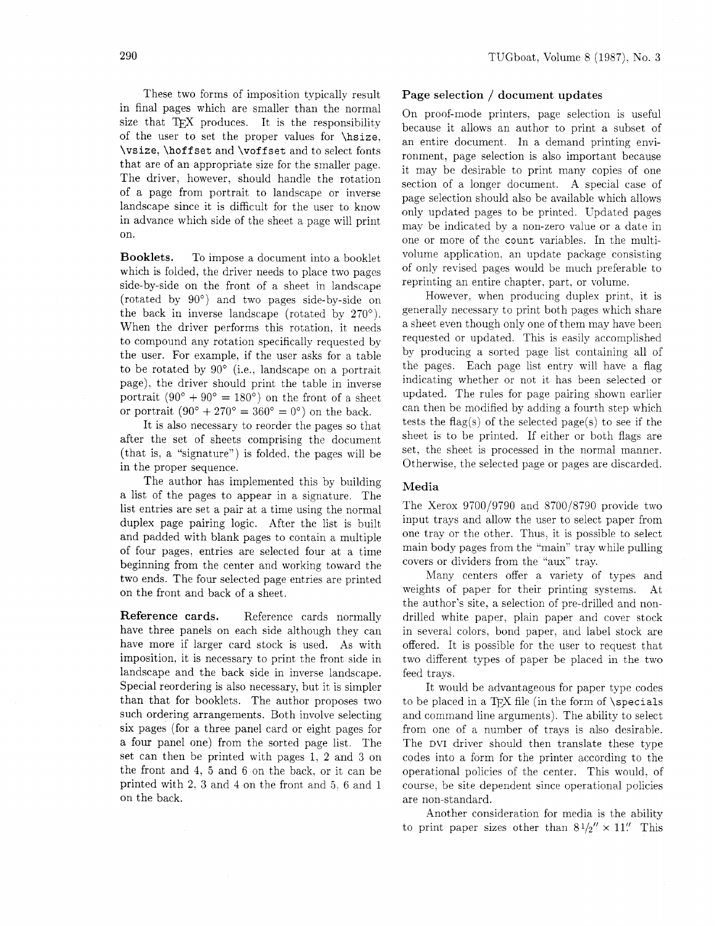These two forms of imposition typically result Page selection / document updates in final pages which are smaller than the normal size that TFX produces. It is the responsibility of the user to set the proper values for \hsize, \vsize, \hoffset and \voffset and to select fonts that are of an appropriate size for the smaller page. The driver, however, should handle the rotation of a page from portrait to landscape or inverse landscape since it is difficult for the user to know in advance which side of the sheet a page will print on.

Booklets. To impose a document into a booklet which is folded, the driver needs to place two pages side-by-side on the front of a sheet in landscape (rotated by 90') and two pages side-by-side on the back in inverse landscape (rotated by  $270^{\circ}$ ). When the driver performs this rotation. it needs to compound any rotation specifically requested by the user. For example, if the user asks for a table to be rotated by  $90^{\circ}$  (i.e., landscape on a portrait page), the driver should print the table in inverse portrait  $(90^{\circ} + 90^{\circ} = 180^{\circ})$  on the front of a sheet or portrait  $(90^{\circ} + 270^{\circ} = 360^{\circ} = 0^{\circ})$  on the back.

It is also necessary to reorder the pages so that after the set of sheets comprising the document (that is, a "signature") is folded, the pages will be in the proper sequence.

The author has implemented this by building a list of the pages to appear in a signature. The list entries are set a pair at a time using the normal duplex page pairing logic. After the list is built and padded with blank pages to contain a multiple of four pages, entries are selected four at a time beginning from the center and working toward the two ends. The four selected page entries are printed on the front and back of a sheet.

Reference cards. Reference cards normally have three panels on each side although they can have more if larger card stock is used. As with imposition. it is necessary to print the front side in landscape and the back side in inverse landscape. Special reordering is also necessary, but it is simpler than that for booklets. The author proposes two such ordering arrangements. Both involve selecting six pages (for a three panel card or eight pages for a four panel one) from the sorted page list. The set can then be printed with pages 1. 2 and 3 on the front and 4, *5* and 6 on the back. or it can be printed with 2, *3* and 4 on the front and *5 6* and 1 on the back.

On proof-mode printers. page selection is useful because it allows an author to print a subset of an entire document. In a demand printing environment, page selection is also important because it may be desirable to print many copies of one section of a longer document. A special case of page selection should also be available which allows only updated pages to be printed. Updated pages mav be indicated bv a non-zero value or a date in one or more of the count variables. In the multivolume application. an update package consisting of only revised pages would be much preferable to reprinting an entire chapter. part. or volume.

However. when producing duplex print, it is generally necessary to print both pages which share a sheet even though only one of them may have been requested or updated. This is easily accomplished by producing a sorted page list containing all of the pages. Each page list entry will have a flag indicating whether or not it has been selected or updated. The rules for page pairing shown earlier can then be modified by adding a fourth step which tests the flag(s) of the selected page(s) to see if the sheet is to be printed. If either or both flags are set, the sheet is processed in the normal manner. Otherwise. the selected page or pages are discarded.

### Media

The Xerox 9700/9790 and 8700/8790 provide two input trays and allow the user to select paper from one tray or the other. Thus. it is possible to select main body pages from the "main" tray while pulling covers or dividers from the "aux" tray.

Many centers offer a variety of types and weights of paper for their printing systems. At the author's site. a selection of pre-drilled and nondrilled white paper, plain paper and cover stock in several colors, bond paper, and label stock are offered. It is possible for the user to request that two different types of paper be placed in the two feed trays.

It would be advantageous for paper type codes to be placed in a TEX file (in the form of  $\spadesuit$  specials and command line arguments). The ability to select from one of a number of trays is also desirable. The DVI driver should then translate these type codes into a form for the printer according to the operational policies of the center. This would, of course, be site dependent since operational policies are non-standard.

Another consideration for media is the ability to print paper sizes other than  $8\frac{1}{2}'' \times 11''$ . This